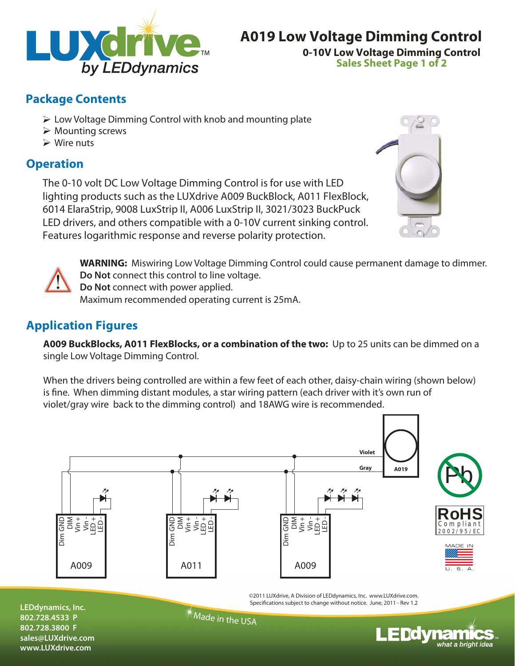

## **0-10V Low Voltage Dimming Control A019 Low Voltage Dimming Control**

**Sales Sheet Page 1 of 2**

## **Package Contents**

- $\triangleright$  Low Voltage Dimming Control with knob and mounting plate
- $\triangleright$  Mounting screws
- $\triangleright$  Wire nuts

## **Operation**

The 0-10 volt DC Low Voltage Dimming Control is for use with LED lighting products such as the LUXdrive A009 BuckBlock, A011 FlexBlock, 6014 ElaraStrip, 9008 LuxStrip II, A006 LuxStrip II, 3021/3023 BuckPuck LED drivers, and others compatible with a 0-10V current sinking control. Features logarithmic response and reverse polarity protection.





**WARNING:** Miswiring Low Voltage Dimming Control could cause permanent damage to dimmer. **Do Not** connect this control to line voltage.

**Do Not** connect with power applied. Maximum recommended operating current is 25mA.

## **Application Figures**

**A009 BuckBlocks, A011 FlexBlocks, or a combination of the two:** Up to 25 units can be dimmed on a single Low Voltage Dimming Control.

When the drivers being controlled are within a few feet of each other, daisy-chain wiring (shown below) is fine. When dimming distant modules, a star wiring pattern (each driver with it's own run of violet/gray wire back to the dimming control) and 18AWG wire is recommended.



©2011 LUXdrive, A Division of LEDdynamics, Inc. www.LUXdrive.com. Specifications subject to change without notice. June, 2011 - Rev 1.2

**LEDdynamics, Inc. 802.728.4533 P 802.728.3800 F sales@LUXdrive.com www.LUXdrive.com**

 $*$ Made in the USA